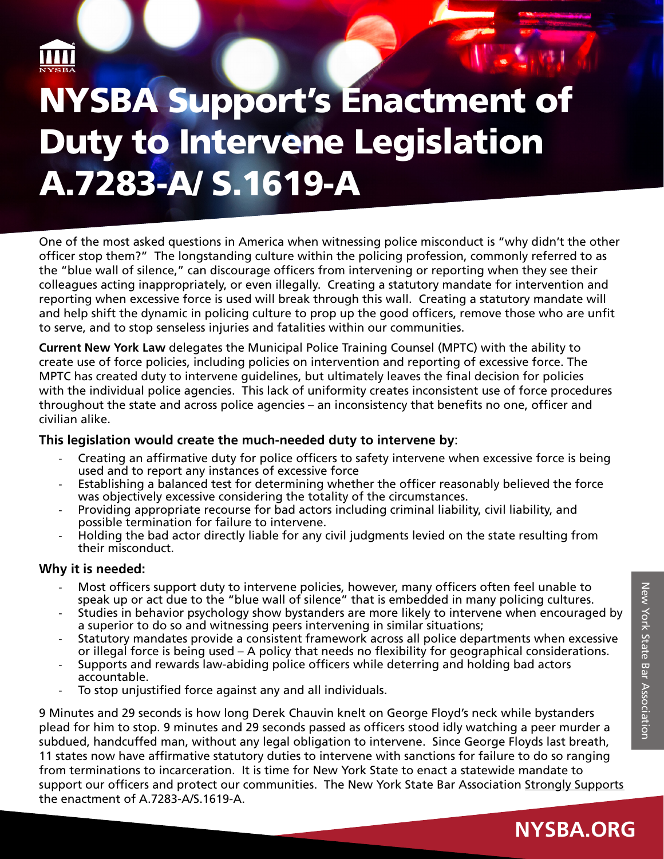

**XXXX** 

## **Duty to Intervene Legislation Section** NYSBA Support's Enactment of A.7283-A/ S.1619-A

One of the most asked questions in America when witnessing police misconduct is "why didn't the other officer stop them?" The longstanding culture within the policing profession, commonly referred to as the "blue wall of silence," can discourage officers from intervening or reporting when they see their colleagues acting inappropriately, or even illegally. Creating a statutory mandate for intervention and reporting when excessive force is used will break through this wall. Creating a statutory mandate will and help shift the dynamic in policing culture to prop up the good officers, remove those who are unfit to serve, and to stop senseless injuries and fatalities within our communities.

**Current New York Law** delegates the Municipal Police Training Counsel (MPTC) with the ability to create use of force policies, including policies on intervention and reporting of excessive force. The MPTC has created duty to intervene guidelines, but ultimately leaves the final decision for policies with the individual police agencies. This lack of uniformity creates inconsistent use of force procedures throughout the state and across police agencies – an inconsistency that benefits no one, officer and civilian alike.

## **This legislation would create the much-needed duty to intervene by**:

- Creating an affirmative duty for police officers to safety intervene when excessive force is being used and to report any instances of excessive force
- Establishing a balanced test for determining whether the officer reasonably believed the force was objectively excessive considering the totality of the circumstances.
- Providing appropriate recourse for bad actors including criminal liability, civil liability, and possible termination for failure to intervene.
- Holding the bad actor directly liable for any civil judgments levied on the state resulting from their misconduct.

## **Why it is needed:**

- Most officers support duty to intervene policies, however, many officers often feel unable to speak up or act due to the "blue wall of silence" that is embedded in many policing cultures.
- Studies in behavior psychology show bystanders are more likely to intervene when encouraged by a superior to do so and witnessing peers intervening in similar situations;
- Statutory mandates provide a consistent framework across all police departments when excessive or illegal force is being used – A policy that needs no flexibility for geographical considerations.
- Supports and rewards law-abiding police officers while deterring and holding bad actors accountable.
- To stop unjustified force against any and all individuals.

9 Minutes and 29 seconds is how long Derek Chauvin knelt on George Floyd's neck while bystanders plead for him to stop. 9 minutes and 29 seconds passed as officers stood idly watching a peer murder a subdued, handcuffed man, without any legal obligation to intervene. Since George Floyds last breath, 11 states now have affirmative statutory duties to intervene with sanctions for failure to do so ranging from terminations to incarceration. It is time for New York State to enact a statewide mandate to support our officers and protect our communities. The New York State Bar Association Strongly Supports the enactment of A.7283-A/S.1619-A.

**NYSBA.ORG**